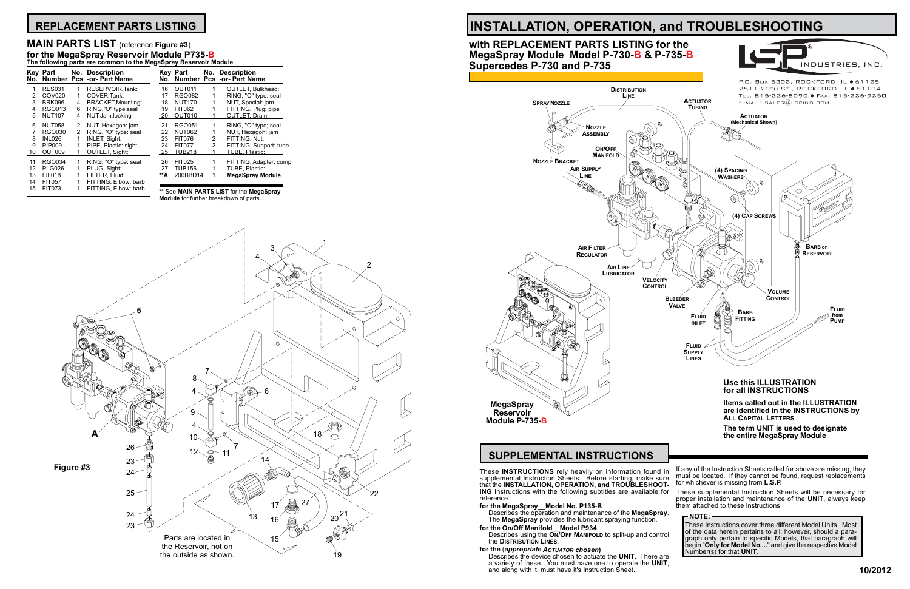that the **INSTALLATION, OPERATION, and TROUBLESHOOT- ING** Instructions with the following subtitles are available for reference.

Describes using the **ON/OFF MANIFOLD** to split-up and control the **Distribution Lines**.

### **for the MegaSpray\_\_Model No. P135-B**

Describes the operation and maintenance of the **MegaSpray**. The **MegaSpray** provides the lubricant spraying function.

**for the On/Off Manifold\_\_Model P934**

### **for the** (*appropriate Actuator chosen***)**

Describes the device chosen to actuate the **UNIT**. There are a variety of these. You must have one to operate the **UNIT**, and along with it, must have it's Instruction Sheet.



P.O. Box 5303, ROCKFORD, IL  $\bullet$  61125 2511-20TH ST., ROCKFORD, IL ● 61104 TEL: 815-226-8090 · FAX: 815-226-9250

INDUSTRIES, INC

# **INSTALLATION, OPERATION, and TROUBLESHOOTING**

## **with REPLACEMENT PARTS LISTING for the MegaSpray Module Model P-730-B & P-735-B Supercedes P-730 and P-735**

These supplemental Instruction Sheets will be necessary for proper installation and maintenance of the **UNIT**, always keep them attached to these Instructions.

### **NOTE:**

These Instructions cover three different Model Units. Most of the data herein pertains to all; however, should a paragraph only pertain to specific Models, that paragraph will begin "**Only for Model No....**" and give the respective Model Number(s) for that **UNIT**.

## **REPLACEMENT PARTS LISTING**

|    | The following parts are common to the MegaSpray Reservoir Module |   |                                                  |     |               |                |                                                  |
|----|------------------------------------------------------------------|---|--------------------------------------------------|-----|---------------|----------------|--------------------------------------------------|
|    | <b>Key Part</b>                                                  |   | No. Description<br>No. Number Pcs -or- Part Name |     | Kev Part      |                | No. Description<br>No. Number Pcs -or- Part Name |
| 1  | <b>RES031</b>                                                    | 1 | RESERVOIR, Tank:                                 | 16  | OUT011        |                | <b>OUTLET, Bulkhead:</b>                         |
| 2  | COV <sub>020</sub>                                               | 1 | COVER.Tank:                                      | 17  | RGO082        |                | RING, "O" type: seal                             |
| 3  | <b>BRK096</b>                                                    | 4 | <b>BRACKET, Mounting:</b>                        | 18  | <b>NUT170</b> |                | NUT, Special: jam                                |
| 4  | <b>RGO013</b>                                                    | 6 | RING,"O" type:seal                               | 19  | FIT062        |                | FITTING, Plug: pipe                              |
| 5  | <b>NUT107</b>                                                    | 4 | NUT, Jam: locking                                | 20  | OUT010        |                | <b>OUTLET, Drain:</b>                            |
| 6  | <b>NUT058</b>                                                    | 2 | NUT, Hexagon: jam                                | 21  | RGO051        |                | RING, "O" type; seal                             |
|    | <b>RGO030</b>                                                    | 2 | RING, "O" type: seal                             | 22  | <b>NUT062</b> |                | NUT, Hexagon: jam                                |
| 8  | INL026                                                           | 1 | <b>INLET, Sight:</b>                             | 23  | <b>FIT076</b> | 2              | FITTING, Nut:                                    |
| 9  | <b>PIP009</b>                                                    |   | PIPE, Plastic: sight                             | 24  | <b>FIT077</b> | $\mathfrak{p}$ | FITTING, Support: tube                           |
| 10 | OUT009                                                           |   | <b>OUTLET, Sight:</b>                            | -25 | TUB218        |                | TUBE, Plastic:                                   |
| 11 | RGO034                                                           | 1 | RING, "O" type: seal                             | 26  | <b>FIT025</b> |                | FITTING, Adapter: comp                           |
| 12 | <b>PLG026</b>                                                    |   | PLUG, Sight:                                     | 27  | <b>TUB156</b> |                | TUBE, Plastic:                                   |
| 13 | <b>FIL018</b>                                                    |   | FILTER. Fluid:                                   | **A | 200BBD14      |                | <b>MegaSpray Module</b>                          |
| 14 | <b>FIT057</b>                                                    |   | FITTING, Elbow: barb                             |     |               |                |                                                  |
| 15 | <b>FIT073</b>                                                    |   | FITTING, Elbow: barb                             |     |               |                | ** See MAIN PARTS I IST for the MegaSpray        |



## **MAIN PARTS LIST** (reference **Figure #3**) **for the MegaSpray Reservoir Module P735-B**

**\*\*** See **MAIN PARTS LIST** for the **MegaSpray Module** for further breakdown of parts.

### 1 3 4 2 5 7 8 (�) 4 6 9 4 **A** 18 10 7 26  $\overline{\swarrow}$  $12 - 21$ 14 23 **Figure #3**  $24 -$ √∩ি 25 22 27 17 21 24 13 16  $23 -$ Parts are located in 15 the Reservoir, not on the outside as shown. 19